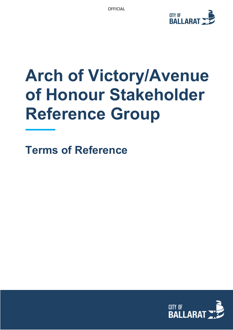

# **Arch of Victory/Avenue of Honour Stakeholder Reference Group**

**Terms of Reference**

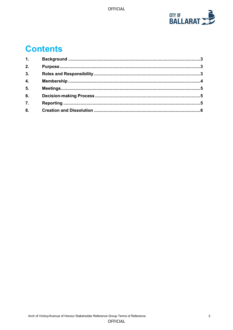

# **Contents**

| 1.               |  |
|------------------|--|
| 2.               |  |
| 3.               |  |
| 4.               |  |
| 5 <sub>1</sub>   |  |
| 6.               |  |
| $\overline{7}$ . |  |
| 8.               |  |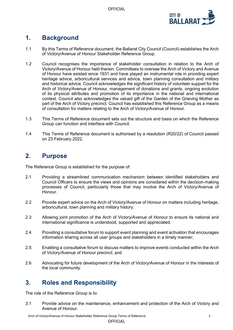OFFICIAL



# <span id="page-2-0"></span>**1. Background**

- 1.1 By this Terms of Reference document, the Ballarat City Council (Council) establishes the Arch of Victory/Avenue of Honour Stakeholder Reference Group.
- 1.2 Council recognises the importance of stakeholder consultation in relation to the Arch of Victory/Avenue of Honour held therein. Committees to oversee the Arch of Victory and Avenue of Honour have existed since 1931 and have played an instrumental role in providing expert heritage advice, arboricultural services and advice, town planning consultation and military and historical advice. Council acknowledges the significant history of volunteer support for the Arch of Victory/Avenue of Honour, management of donations and grants, ongoing evolution of its physical attributes and promotion of its importance in the national and international context. Council also acknowledges the valued gift of the Garden of the Grieving Mother as part of the Arch of Victory precinct. Council has established this Reference Group as a means of consultation for matters relating to the Arch of Victory/Avenue of Honour.
- 1.3 This Terms of Reference document sets out the structure and basis on which the Reference Group can function and interface with Council.
- 1.4 This Terms of Reference document is authorised by a resolution (R20/22) of Council passed on 23 February 2022.

## <span id="page-2-1"></span>**2. Purpose**

The Reference Group is established for the purpose of:

- 2.1 Providing a streamlined communication mechanism between identified stakeholders and Council Officers to ensure the views and opinions are considered within the decision-making processes of Council, particularly those that may involve the Arch of Victory/Avenue of **Honour**
- 2.2 Provide expert advice on the Arch of Victory/Avenue of Honour on matters including heritage, arboricultural, town planning and military history.
- 2.3 Allowing joint promotion of the Arch of Victory/Avenue of Honour to ensure its national and international significance is understood, supported and appreciated.
- 2.4 Providing a consultative forum to support event planning and event activation that encourages information sharing across all user groups and stakeholders in a timely manner;
- 2.5 Enabling a consultative forum to discuss matters to improve events conducted within the Arch of Victory/Avenue of Honour precinct; and
- 2.6 Advocating for future development of the Arch of Victory/Avenue of Honour in the interests of the local community.

# <span id="page-2-2"></span>**3. Roles and Responsibility**

The role of the Reference Group is to:

3.1 Provide advice on the maintenance, enhancement and protection of the Arch of Victory and Avenue of Honour.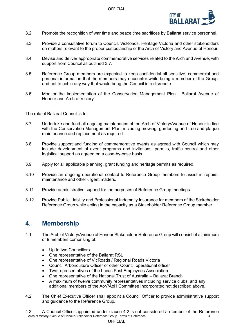

- 3.2 Promote the recognition of war time and peace time sacrifices by Ballarat service personnel.
- 3.3 Provide a consultative forum to Council, VicRoads, Heritage Victoria and other stakeholders on matters relevant to the proper custodianship of the Arch of Victory and Avenue of Honour.
- 3.4 Devise and deliver appropriate commemorative services related to the Arch and Avenue, with support from Council as outlined 3.7.
- 3.5 Reference Group members are expected to keep confidential all sensitive, commercial and personal information that the members may encounter while being a member of the Group, and not to act in any way that would bring the Council into disrepute.
- 3.6 Monitor the implementation of the Conservation Management Plan Ballarat Avenue of Honour and Arch of Victory

The role of Ballarat Council is to:

- 3.7 Undertake and fund all ongoing maintenance of the Arch of Victory/Avenue of Honour in line with the Conservation Management Plan, including mowing, gardening and tree and plaque maintenance and replacement as required.
- 3.8 Provide support and funding of commemorative events as agreed with Council which may include development of event programs and invitations, permits, traffic control and other logistical support as agreed on a case-by-case basis.
- 3.9 Apply for all applicable planning, grant funding and heritage permits as required.
- 3.10 Provide an ongoing operational contact to Reference Group members to assist in repairs, maintenance and other urgent matters.
- 3.11 Provide administrative support for the purposes of Reference Group meetings.
- 3.12 Provide Public Liability and Professional Indemnity Insurance for members of the Stakeholder Reference Group while acting in the capacity as a Stakeholder Reference Group member.

#### <span id="page-3-0"></span>**4. Membership**

- 4.1 The Arch of Victory/Avenue of Honour Stakeholder Reference Group will consist of a minimum of 9 members comprising of:
	- Up to two Councillors
	- One representative of the Ballarat RSL
	- One representative of VicRoads / Regional Roads Victoria
	- Council Arboriculture Officer or other Council operational officer
	- Two representatives of the Lucas Past Employees Association
	- One representative of the National Trust of Australia Ballarat Branch
	- A maximum of twelve community representatives including service clubs, and any additional members of the AoV/AoH Committee Incorporated not described above.
- 4.2 The Chief Executive Officer shall appoint a Council Officer to provide administrative support and guidance to the Reference Group.
- Arch of Victory/Avenue of Honour Stakeholder Reference Group Terms of Reference<br>4 4.3 A Council Officer appointed under clause 4.2 is not considered a member of the Reference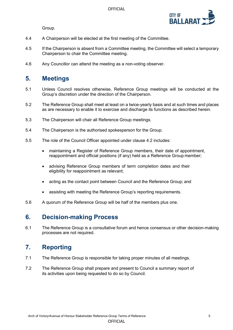Group.



- 4.4 A Chairperson will be elected at the first meeting of the Committee.
- 4.5 If the Chairperson is absent from a Committee meeting, the Committee will select a temporary Chairperson to chair the Committee meeting.
- 4.6 Any Councillor can attend the meeting as a non-voting observer.

#### <span id="page-4-0"></span>**5. Meetings**

- 5.1 Unless Council resolves otherwise, Reference Group meetings will be conducted at the Group's discretion under the direction of the Chairperson.
- 5.2 The Reference Group shall meet at least on a twice-yearly basis and at such times and places as are necessary to enable it to exercise and discharge its functions as described herein.
- 5.3 The Chairperson will chair all Reference Group meetings.
- 5.4 The Chairperson is the authorised spokesperson for the Group.
- 5.5 The role of the Council Officer appointed under clause 4.2 includes:
	- maintaining a Register of Reference Group members, their date of appointment, reappointment and official positions (if any) held as a Reference Group member;
	- advising Reference Group members of term completion dates and their eligibility for reappointment as relevant;
	- acting as the contact point between Council and the Reference Group; and
	- assisting with meeting the Reference Group's reporting requirements.
- 5.6 A quorum of the Reference Group will be half of the members plus one.

#### <span id="page-4-1"></span>**6. Decision-making Process**

6.1 The Reference Group is a consultative forum and hence consensus or other decision-making processes are not required.

## <span id="page-4-2"></span>**7. Reporting**

- 7.1 The Reference Group is responsible for taking proper minutes of all meetings.
- 7.2 The Reference Group shall prepare and present to Council a summary report of its activities upon being requested to do so by Council.